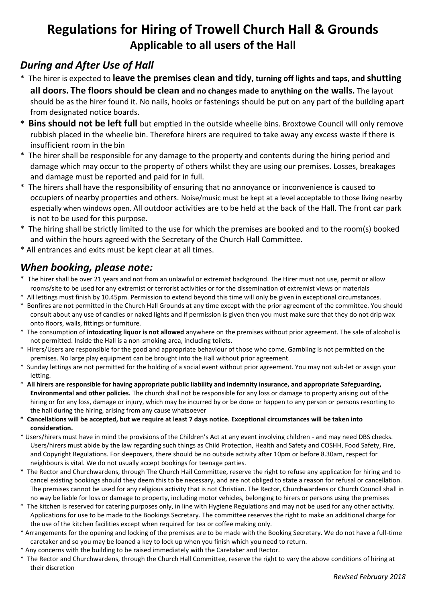## **Regulations for Hiring of Trowell Church Hall & Grounds Applicable to all users of the Hall**

### *During and After Use of Hall*

- \* The hirer is expected to **leave the premises clean and tidy, turning off lights and taps, and shutting all doors. The floors should be clean and no changes made to anything on the walls.** The layout should be as the hirer found it. No nails, hooks or fastenings should be put on any part of the building apart from designated notice boards.
- **\* Bins should not be left full** but emptied in the outside wheelie bins. Broxtowe Council will only remove rubbish placed in the wheelie bin. Therefore hirers are required to take away any excess waste if there is insufficient room in the bin
- \* The hirer shall be responsible for any damage to the property and contents during the hiring period and damage which may occur to the property of others whilst they are using our premises. Losses, breakages and damage must be reported and paid for in full.
- \* The hirers shall have the responsibility of ensuring that no annoyance or inconvenience is caused to occupiers of nearby properties and others. Noise/music must be kept at a level acceptable to those living nearby especially when windows open. All outdoor activities are to be held at the back of the Hall. The front car park is not to be used for this purpose.
- \* The hiring shall be strictly limited to the use for which the premises are booked and to the room(s) booked and within the hours agreed with the Secretary of the Church Hall Committee.
- \* All entrances and exits must be kept clear at all times.

### *When booking, please note:*

- \* The hirer shall be over 21 years and not from an unlawful or extremist background. The Hirer must not use, permit or allow rooms/site to be used for any extremist or terrorist activities or for the dissemination of extremist views or materials
- \* All lettings must finish by 10.45pm. Permission to extend beyond this time will only be given in exceptional circumstances.
- \* Bonfires are not permitted in the Church Hall Grounds at any time except with the prior agreement of the committee. You should consult about any use of candles or naked lights and if permission is given then you must make sure that they do not drip wax onto floors, walls, fittings or furniture.
- \* The consumption of **intoxicating liquor is not allowed** anywhere on the premises without prior agreement. The sale of alcohol is not permitted. Inside the Hall is a non-smoking area, including toilets.
- \* Hirers/Users are responsible for the good and appropriate behaviour of those who come. Gambling is not permitted on the premises. No large play equipment can be brought into the Hall without prior agreement.
- \* Sunday lettings are not permitted for the holding of a social event without prior agreement. You may not sub-let or assign your letting.
- \* **All hirers are responsible for having appropriate public liability and indemnity insurance, and appropriate Safeguarding, Environmental and other policies.** The church shall not be responsible for any loss or damage to property arising out of the hiring or for any loss, damage or injury, which may be incurred by or be done or happen to any person or persons resorting to the hall during the hiring, arising from any cause whatsoever
- **\* Cancellations will be accepted, but we require at least 7 days notice. Exceptional circumstances will be taken into consideration.**
- \* Users/hirers must have in mind the provisions of the Children's Act at any event involving children and may need DBS checks. Users/hirers must abide by the law regarding such things as Child Protection, Health and Safety and COSHH, Food Safety, Fire, and Copyright Regulations. For sleepovers, there should be no outside activity after 10pm or before 8.30am, respect for neighbours is vital. We do not usually accept bookings for teenage parties.
- **\*** The Rector and Churchwardens, through The Church Hail Committee, reserve the right to refuse any application for hiring and to cancel existing bookings should they deem this to be necessary, and are not obliged to state a reason for refusal or cancellation. The premises cannot be used for any religious activity that is not Christian. The Rector, Churchwardens or Church Council shall in no way be liable for loss or damage to property, including motor vehicles, belonging to hirers or persons using the premises
- \* The kitchen is reserved for catering purposes only, in line with Hygiene Regulations and may not be used for any other activity. Applications for use to be made to the Bookings Secretary. The committee reserves the right to make an additional charge for the use of the kitchen facilities except when required for tea or coffee making only.
- \* Arrangements for the opening and locking of the premises are to be made with the Booking Secretary. We do not have a full-time caretaker and so you may be loaned a key to lock up when you finish which you need to return.
- \* Any concerns with the building to be raised immediately with the Caretaker and Rector.
- \* The Rector and Churchwardens, through the Church Hall Committee, reserve the right to vary the above conditions of hiring at their discretion